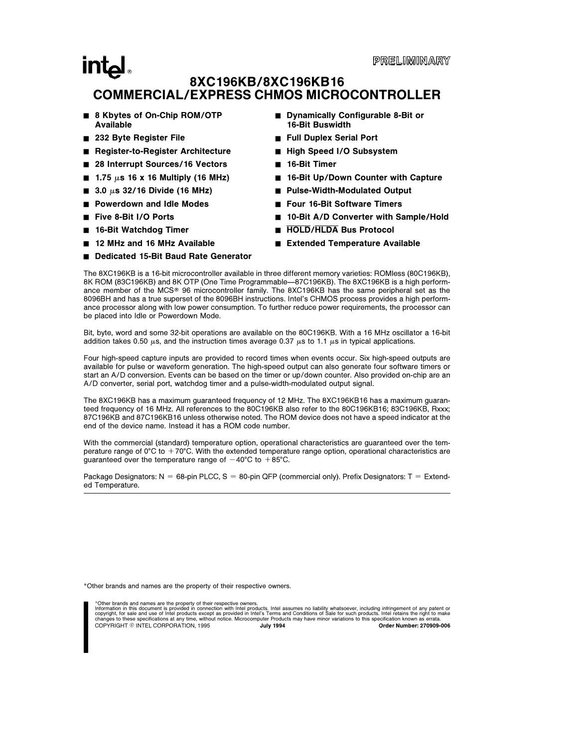## **intal** 8XC196KB/8XC196KB16 COMMERCIAL/EXPRESS CHMOS MICROCONTROLLER

- 8 Kbytes of On-Chip ROM/OTP Available
- 232 Byte Register File
- Register-to-Register Architecture
- 28 Interrupt Sources/16 Vectors
- $\blacksquare$  1.75  $\mu$ s 16 x 16 Multiply (16 MHz)
- $\blacksquare$  3.0  $\mu$ s 32/16 Divide (16 MHz)
- Powerdown and Idle Modes
- Five 8-Bit I/O Ports
- 16-Bit Watchdog Timer
- 12 MHz and 16 MHz Available
- Dedicated 15-Bit Baud Rate Generator
- Dynamically Configurable 8-Bit or 16-Bit Buswidth
- Full Duplex Serial Port
- High Speed I/O Subsystem
- 16-Bit Timer
- 16-Bit Up/Down Counter with Capture
- Pulse-Width-Modulated Output
- Four 16-Bit Software Timers
- 10-Bit A/D Converter with Sample/Hold
- **HOLD/HLDA Bus Protocol**
- Extended Temperature Available

The 8XC196KB is a 16-bit microcontroller available in three different memory varieties: ROMless (80C196KB), 8K ROM (83C196KB) and 8K OTP (One Time Programmable—87C196KB). The 8XC196KB is a high performance member of the MCS® 96 microcontroller family. The 8XC196KB has the same peripheral set as the 8096BH and has a true superset of the 8096BH instructions. Intel's CHMOS process provides a high performance processor along with low power consumption. To further reduce power requirements, the processor can be placed into Idle or Powerdown Mode.

Bit, byte, word and some 32-bit operations are available on the 80C196KB. With a 16 MHz oscillator a 16-bit addition takes 0.50  $\mu$ s, and the instruction times average 0.37  $\mu$ s to 1.1  $\mu$ s in typical applications.

Four high-speed capture inputs are provided to record times when events occur. Six high-speed outputs are available for pulse or waveform generation. The high-speed output can also generate four software timers or start an A/D conversion. Events can be based on the timer or up/down counter. Also provided on-chip are an A/D converter, serial port, watchdog timer and a pulse-width-modulated output signal.

The 8XC196KB has a maximum guaranteed frequency of 12 MHz. The 8XC196KB16 has a maximum guaranteed frequency of 16 MHz. All references to the 80C196KB also refer to the 80C196KB16; 83C196KB, Rxxx; 87C196KB and 87C196KB16 unless otherwise noted. The ROM device does not have a speed indicator at the end of the device name. Instead it has a ROM code number.

With the commercial (standard) temperature option, operational characteristics are guaranteed over the temperature range of  $0^{\circ}$ C to  $+70^{\circ}$ C. With the extended temperature range option, operational characteristics are guaranteed over the temperature range of  $-40^{\circ}$ C to  $+85^{\circ}$ C.

Package Designators: N = 68-pin PLCC, S = 80-pin QFP (commercial only). Prefix Designators: T = Extended Temperature.

\*Other brands and names are the property of their respective owners.

\*Other brands and names are the property of their respective owners.

Information in this document is provided in connection with Intel products. Intel assumes no liability whatsoever, including infringement of any patent or<br>copyright, for sale and use of Intel products except as provided in COPYRIGHT © INTEL CORPORATION, 1995 July 1994 Order Number: 270909-006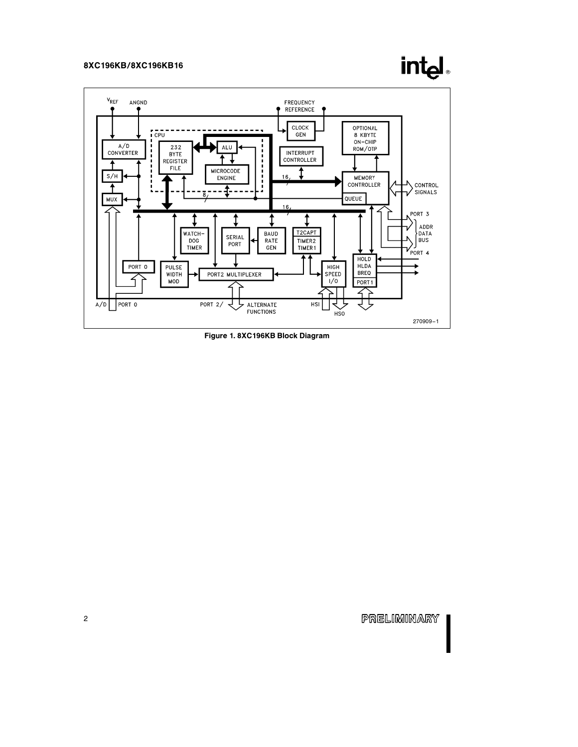# int<sub>el</sub>



Figure 1. 8XC196KB Block Diagram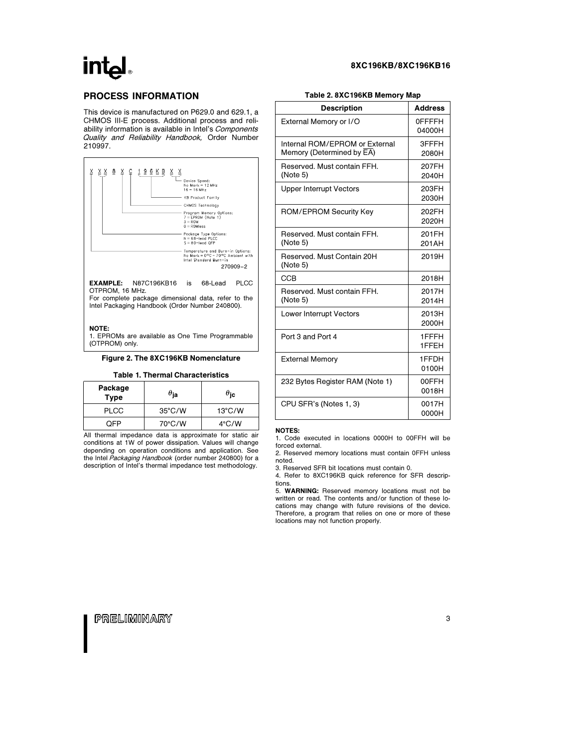# intal

## PROCESS INFORMATION

This device is manufactured on P629.0 and 629.1, a CHMOS III-E process. Additional process and reliability information is available in Intel's Components Quality and Reliability Handbook, Order Number 210997.



OTPROM, 16 MHz. For complete package dimensional data, refer to the Intel Packaging Handbook (Order Number 240800).

### NOTE:

1. EPROMs are available as One Time Programmable (OTPROM) only.

### Figure 2. The 8XC196KB Nomenclature

### Table 1. Thermal Characteristics

| Package<br><b>Type</b> | $\theta_{\mathsf{ja}}$ | $\theta_{\rm ic}$ |
|------------------------|------------------------|-------------------|
| <b>PLCC</b>            | $35^{\circ}$ C/W       | $13^{\circ}$ C/W  |
| OFP                    | 70°C/W                 | $4^{\circ}$ C/W   |

All thermal impedance data is approximate for static air conditions at 1W of power dissipation. Values will change depending on operation conditions and application. See the Intel Packaging Handbook (order number 240800) for a description of Intel's thermal impedance test methodology.

### Table 2. 8XC196KB Memory Map

8XC196KB/8XC196KB16

| <b>Description</b>                                          | <b>Address</b>          |
|-------------------------------------------------------------|-------------------------|
| External Memory or I/O                                      | <b>OFFFFH</b><br>04000H |
| Internal ROM/EPROM or External<br>Memory (Determined by EA) | 3FFFH<br>2080H          |
| Reserved, Must contain FFH.<br>(Note 5)                     | 207FH<br>2040H          |
| <b>Upper Interrupt Vectors</b>                              | 203FH<br>2030H          |
| ROM/EPROM Security Key                                      | 202FH<br>2020H          |
| Reserved, Must contain FFH.<br>(Note 5)                     | 201FH<br>201AH          |
| Reserved, Must Contain 20H<br>(Note 5)                      | 2019H                   |
| <b>CCB</b>                                                  | 2018H                   |
| Reserved. Must contain FFH.<br>(Note 5)                     | 2017H<br>2014H          |
| <b>Lower Interrupt Vectors</b>                              | 2013H<br>2000H          |
| Port 3 and Port 4                                           | 1FFFH<br>1FFEH          |
| <b>External Memory</b>                                      | 1FFDH<br>0100H          |
| 232 Bytes Register RAM (Note 1)                             | 00FFH<br>0018H          |
| CPU SFR's (Notes 1, 3)                                      | 0017H<br>0000H          |

#### NOTES:

1. Code executed in locations 0000H to 00FFH will be forced external.

2. Reserved memory locations must contain 0FFH unless noted.

3. Reserved SFR bit locations must contain 0.

4. Refer to 8XC196KB quick reference for SFR descriptions.

5. WARNING: Reserved memory locations must not be written or read. The contents and/or function of these locations may change with future revisions of the device. Therefore, a program that relies on one or more of these locations may not function properly.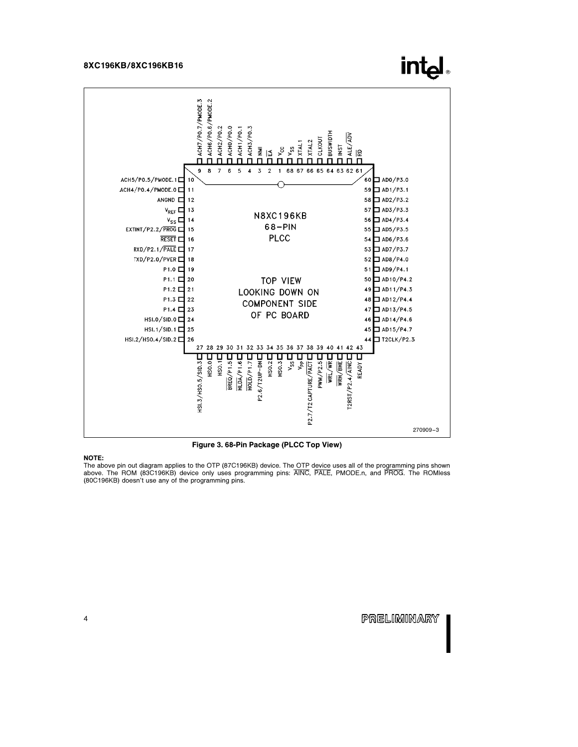

Figure 3. 68-Pin Package (PLCC Top View)

### NOTE:

The above pin out diagram applies to the OTP (87C196KB) device. The OTP device uses all of the programming pins shown<br>above. The ROM (83C196KB) device only uses programming pins: ĀINC, PALE, PMODE.n, and PROG. (80C196KB) doesn't use any of the programming pins.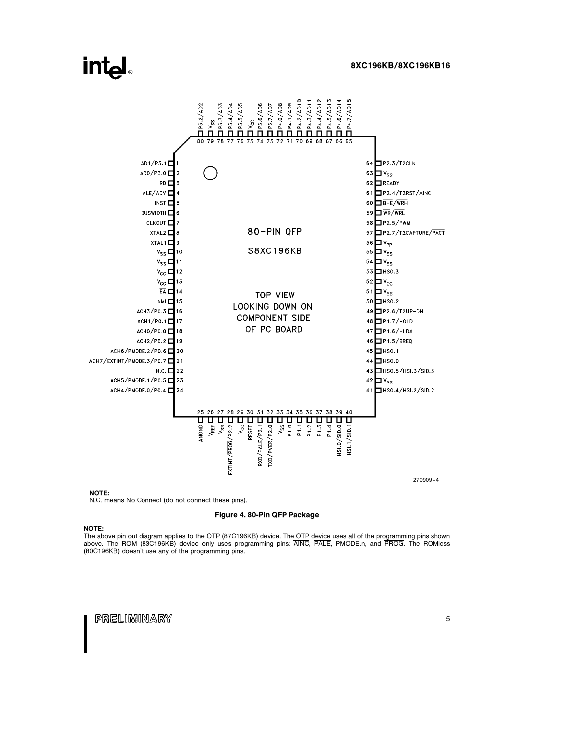## **intal**



Figure 4. 80-Pin QFP Package

### NOTE:

The above pin out diagram applies to the OTP (87C196KB) device. The OTP device uses all of the programming pins shown<br>above. The ROM (83C196KB) device only uses programming pins: ĀINC, PALE, PMODE.n, and PROG.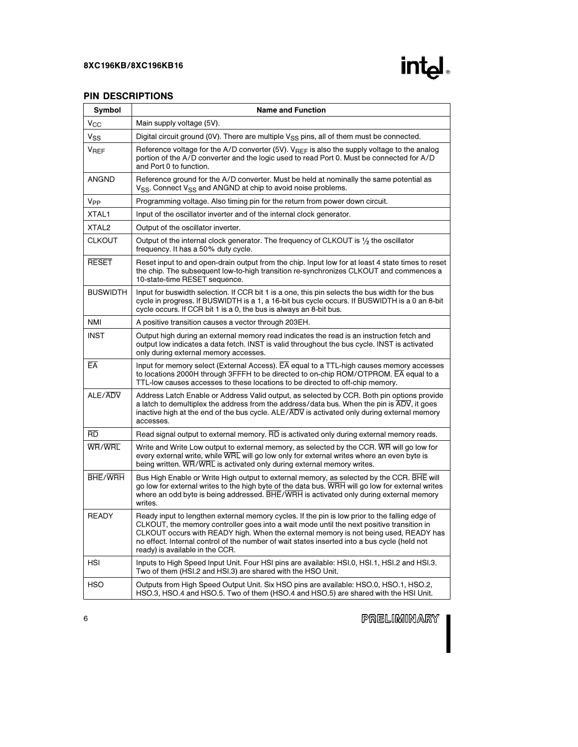

## PIN DESCRIPTIONS

| Symbol                 | <b>Name and Function</b>                                                                                                                                                                                                                                                                                                                                                                                               |
|------------------------|------------------------------------------------------------------------------------------------------------------------------------------------------------------------------------------------------------------------------------------------------------------------------------------------------------------------------------------------------------------------------------------------------------------------|
| $V_{\rm CC}$           | Main supply voltage (5V).                                                                                                                                                                                                                                                                                                                                                                                              |
| $V_{SS}$               | Digital circuit ground (0V). There are multiple V <sub>SS</sub> pins, all of them must be connected.                                                                                                                                                                                                                                                                                                                   |
| <b>V<sub>REF</sub></b> | Reference voltage for the A/D converter (5V). V <sub>REF</sub> is also the supply voltage to the analog<br>portion of the A/D converter and the logic used to read Port 0. Must be connected for A/D<br>and Port 0 to function.                                                                                                                                                                                        |
| <b>ANGND</b>           | Reference ground for the A/D converter. Must be held at nominally the same potential as<br>V <sub>SS</sub> . Connect V <sub>SS</sub> and ANGND at chip to avoid noise problems.                                                                                                                                                                                                                                        |
| V <sub>PP</sub>        | Programming voltage. Also timing pin for the return from power down circuit.                                                                                                                                                                                                                                                                                                                                           |
| XTAL1                  | Input of the oscillator inverter and of the internal clock generator.                                                                                                                                                                                                                                                                                                                                                  |
| XTAL <sub>2</sub>      | Output of the oscillator inverter.                                                                                                                                                                                                                                                                                                                                                                                     |
| <b>CLKOUT</b>          | Output of the internal clock generator. The frequency of CLKOUT is $\frac{1}{2}$ the oscillator<br>frequency. It has a 50% duty cycle.                                                                                                                                                                                                                                                                                 |
| <b>RESET</b>           | Reset input to and open-drain output from the chip. Input low for at least 4 state times to reset<br>the chip. The subsequent low-to-high transition re-synchronizes CLKOUT and commences a<br>10-state-time RESET sequence.                                                                                                                                                                                           |
| <b>BUSWIDTH</b>        | Input for buswidth selection. If CCR bit 1 is a one, this pin selects the bus width for the bus<br>cycle in progress. If BUSWIDTH is a 1, a 16-bit bus cycle occurs. If BUSWIDTH is a 0 an 8-bit<br>cycle occurs. If CCR bit 1 is a 0, the bus is always an 8-bit bus.                                                                                                                                                 |
| <b>NMI</b>             | A positive transition causes a vector through 203EH.                                                                                                                                                                                                                                                                                                                                                                   |
| <b>INST</b>            | Output high during an external memory read indicates the read is an instruction fetch and<br>output low indicates a data fetch. INST is valid throughout the bus cycle. INST is activated<br>only during external memory accesses.                                                                                                                                                                                     |
| EA                     | Input for memory select (External Access). $\overline{EA}$ equal to a TTL-high causes memory accesses<br>to locations 2000H through 3FFFH to be directed to on-chip ROM/OTPROM. EA equal to a<br>TTL-low causes accesses to these locations to be directed to off-chip memory.                                                                                                                                         |
| ALE/ADV                | Address Latch Enable or Address Valid output, as selected by CCR. Both pin options provide<br>a latch to demultiplex the address from the address/data bus. When the pin is $\overline{ADV}$ , it goes<br>inactive high at the end of the bus cycle. ALE/ADV is activated only during external memory<br>accesses.                                                                                                     |
| <b>RD</b>              | Read signal output to external memory. RD is activated only during external memory reads.                                                                                                                                                                                                                                                                                                                              |
| WR/WRL                 | Write and Write Low output to external memory, as selected by the CCR. WR will go low for<br>every external write, while WRL will go low only for external writes where an even byte is<br>being written. WR/WRL is activated only during external memory writes.                                                                                                                                                      |
| <b>BHE/WRH</b>         | Bus High Enable or Write High output to external memory, as selected by the CCR. BHE will<br>go low for external writes to the high byte of the data bus. WRH will go low for external writes<br>where an odd byte is being addressed. BHE/WRH is activated only during external memory<br>writes.                                                                                                                     |
| READY                  | Ready input to lengthen external memory cycles. If the pin is low prior to the falling edge of<br>CLKOUT, the memory controller goes into a wait mode until the next positive transition in<br>CLKOUT occurs with READY high. When the external memory is not being used, READY has<br>no effect. Internal control of the number of wait states inserted into a bus cycle (held not<br>ready) is available in the CCR. |
| <b>HSI</b>             | Inputs to High Speed Input Unit. Four HSI pins are available: HSI.0, HSI.1, HSI.2 and HSI.3.<br>Two of them (HSI.2 and HSI.3) are shared with the HSO Unit.                                                                                                                                                                                                                                                            |
| <b>HSO</b>             | Outputs from High Speed Output Unit. Six HSO pins are available: HSO.0, HSO.1, HSO.2,<br>HSO.3, HSO.4 and HSO.5. Two of them (HSO.4 and HSO.5) are shared with the HSI Unit.                                                                                                                                                                                                                                           |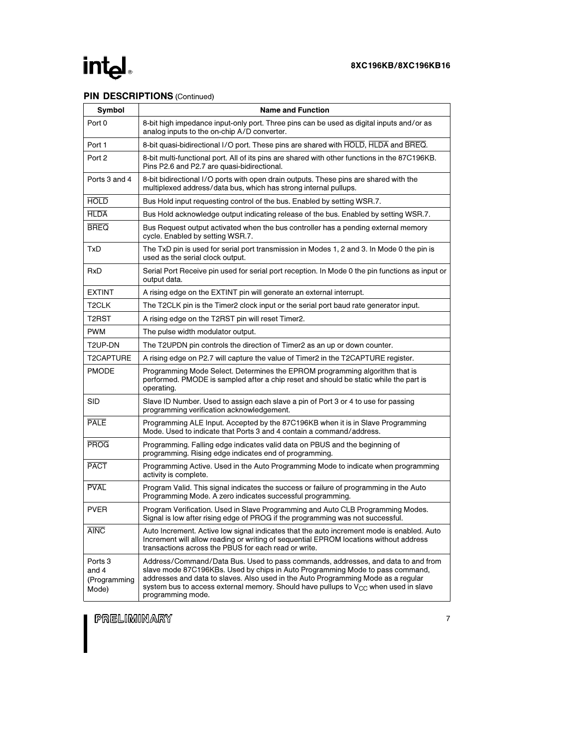# intel

## PIN DESCRIPTIONS (Continued)

| Symbol                                               | <b>Name and Function</b>                                                                                                                                                                                                                                                                                                                                                |
|------------------------------------------------------|-------------------------------------------------------------------------------------------------------------------------------------------------------------------------------------------------------------------------------------------------------------------------------------------------------------------------------------------------------------------------|
| Port 0                                               | 8-bit high impedance input-only port. Three pins can be used as digital inputs and/or as<br>analog inputs to the on-chip A/D converter.                                                                                                                                                                                                                                 |
| Port 1                                               | 8-bit quasi-bidirectional I/O port. These pins are shared with HOLD, HLDA and BREQ.                                                                                                                                                                                                                                                                                     |
| Port 2                                               | 8-bit multi-functional port. All of its pins are shared with other functions in the 87C196KB.<br>Pins P2.6 and P2.7 are quasi-bidirectional.                                                                                                                                                                                                                            |
| Ports 3 and 4                                        | 8-bit bidirectional I/O ports with open drain outputs. These pins are shared with the<br>multiplexed address/data bus, which has strong internal pullups.                                                                                                                                                                                                               |
| <b>HOLD</b>                                          | Bus Hold input requesting control of the bus. Enabled by setting WSR.7.                                                                                                                                                                                                                                                                                                 |
| <b>HLDA</b>                                          | Bus Hold acknowledge output indicating release of the bus. Enabled by setting WSR.7.                                                                                                                                                                                                                                                                                    |
| <b>BREQ</b>                                          | Bus Request output activated when the bus controller has a pending external memory<br>cycle. Enabled by setting WSR.7.                                                                                                                                                                                                                                                  |
| TxD                                                  | The TxD pin is used for serial port transmission in Modes 1, 2 and 3. In Mode 0 the pin is<br>used as the serial clock output.                                                                                                                                                                                                                                          |
| RxD                                                  | Serial Port Receive pin used for serial port reception. In Mode 0 the pin functions as input or<br>output data.                                                                                                                                                                                                                                                         |
| <b>EXTINT</b>                                        | A rising edge on the EXTINT pin will generate an external interrupt.                                                                                                                                                                                                                                                                                                    |
| T <sub>2</sub> CLK                                   | The T2CLK pin is the Timer2 clock input or the serial port baud rate generator input.                                                                                                                                                                                                                                                                                   |
| T <sub>2</sub> RST                                   | A rising edge on the T2RST pin will reset Timer2.                                                                                                                                                                                                                                                                                                                       |
| <b>PWM</b>                                           | The pulse width modulator output.                                                                                                                                                                                                                                                                                                                                       |
| T2UP-DN                                              | The T2UPDN pin controls the direction of Timer2 as an up or down counter.                                                                                                                                                                                                                                                                                               |
| T2CAPTURE                                            | A rising edge on P2.7 will capture the value of Timer2 in the T2CAPTURE register.                                                                                                                                                                                                                                                                                       |
| <b>PMODE</b>                                         | Programming Mode Select. Determines the EPROM programming algorithm that is<br>performed. PMODE is sampled after a chip reset and should be static while the part is<br>operating.                                                                                                                                                                                      |
| <b>SID</b>                                           | Slave ID Number. Used to assign each slave a pin of Port 3 or 4 to use for passing<br>programming verification acknowledgement.                                                                                                                                                                                                                                         |
| <b>PALE</b>                                          | Programming ALE Input. Accepted by the 87C196KB when it is in Slave Programming<br>Mode. Used to indicate that Ports 3 and 4 contain a command/address.                                                                                                                                                                                                                 |
| <b>PROG</b>                                          | Programming. Falling edge indicates valid data on PBUS and the beginning of<br>programming. Rising edge indicates end of programming.                                                                                                                                                                                                                                   |
| <b>PACT</b>                                          | Programming Active. Used in the Auto Programming Mode to indicate when programming<br>activity is complete.                                                                                                                                                                                                                                                             |
| <b>PVAL</b>                                          | Program Valid. This signal indicates the success or failure of programming in the Auto<br>Programming Mode. A zero indicates successful programming.                                                                                                                                                                                                                    |
| <b>PVER</b>                                          | Program Verification. Used in Slave Programming and Auto CLB Programming Modes.<br>Signal is low after rising edge of PROG if the programming was not successful.                                                                                                                                                                                                       |
| <b>AINC</b>                                          | Auto Increment. Active low signal indicates that the auto increment mode is enabled. Auto<br>Increment will allow reading or writing of sequential EPROM locations without address<br>transactions across the PBUS for each read or write.                                                                                                                              |
| Ports <sub>3</sub><br>and 4<br>(Programming<br>Mode) | Address/Command/Data Bus. Used to pass commands, addresses, and data to and from<br>slave mode 87C196KBs. Used by chips in Auto Programming Mode to pass command,<br>addresses and data to slaves. Also used in the Auto Programming Mode as a regular<br>system bus to access external memory. Should have pullups to $V_{CC}$ when used in slave<br>programming mode. |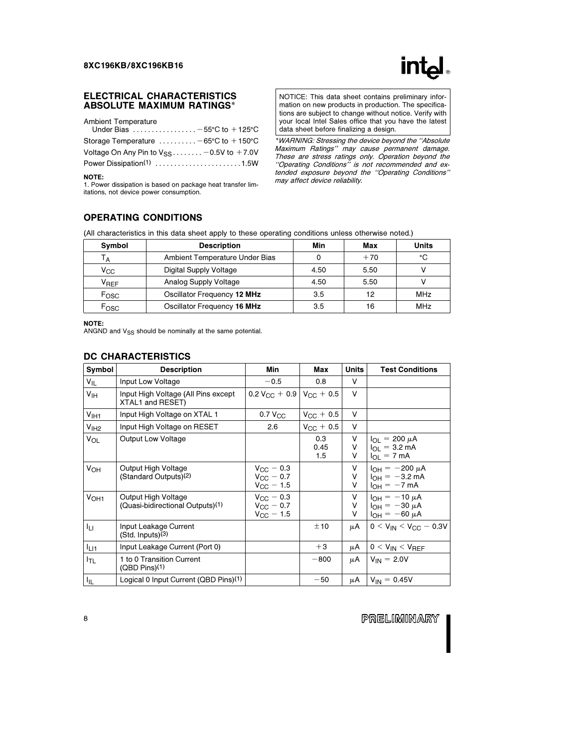

### ELECTRICAL CHARACTERISTICS ABSOLUTE MAXIMUM RATINGS\*

Ambient Temperature

| Under Bias $\ldots \ldots \ldots \ldots -55^{\circ}$ C to +125°C |
|------------------------------------------------------------------|
| Storage Temperature $\dots \dots \dots -65$ °C to +150°C         |
| Voltage On Any Pin to $V_{SS}$ - 0.5V to +7.0V                   |
| Power Dissipation <sup>(1)</sup> 1.5W                            |
|                                                                  |

NOTE:

1. Power dissipation is based on package heat transfer limitations, not device power consumption.

NOTICE: This data sheet contains preliminary information on new products in production. The specifications are subject to change without notice. Verify with your local Intel Sales office that you have the latest data sheet before finalizing a design.

\*WARNING: Stressing the device beyond the ''Absolute Maximum Ratings'' may cause permanent damage. These are stress ratings only. Operation beyond the ''Operating Conditions'' is not recommended and extended exposure beyond the ''Operating Conditions'' may affect device reliability.

## OPERATING CONDITIONS

(All characteristics in this data sheet apply to these operating conditions unless otherwise noted.)

| Symbol                 | <b>Description</b>             | Min  | Max   | <b>Units</b> |
|------------------------|--------------------------------|------|-------|--------------|
| Тд                     | Ambient Temperature Under Bias |      | $+70$ | °С           |
| $V_{\rm CC}$           | Digital Supply Voltage         | 4.50 | 5.50  |              |
| <b>V<sub>REF</sub></b> | Analog Supply Voltage          | 4.50 | 5.50  |              |
| Fosc                   | Oscillator Frequency 12 MHz    | 3.5  | 12    | <b>MHz</b>   |
| Fosc                   | Oscillator Frequency 16 MHz    | 3.5  | 16    | <b>MHz</b>   |

### NOTE:

 $\overline{N}$  and  $V_{SS}$  should be nominally at the same potential.

### DC CHARACTERISTICS

| Symbol           | <b>Description</b>                                                  | Min                                                            | Max                | <b>Units</b> | <b>Test Conditions</b>                                                       |
|------------------|---------------------------------------------------------------------|----------------------------------------------------------------|--------------------|--------------|------------------------------------------------------------------------------|
| V <sub>IL</sub>  | Input Low Voltage                                                   | $-0.5$                                                         | 0.8                | V            |                                                                              |
| V <sub>IH</sub>  | Input High Voltage (All Pins except<br>XTAL1 and RESET)             | $0.2 V_{\rm CC} + 0.9 V_{\rm CC} + 0.5$                        |                    | V            |                                                                              |
| V <sub>IH1</sub> | Input High Voltage on XTAL 1                                        | $0.7 V_{CC}$                                                   | $V_{\rm CC} + 0.5$ | V            |                                                                              |
| V <sub>IH2</sub> | Input High Voltage on RESET                                         | 2.6                                                            | $V_{\rm CC}$ + 0.5 | v            |                                                                              |
| VOL              | <b>Output Low Voltage</b>                                           |                                                                | 0.3<br>0.45<br>1.5 | v<br>v<br>v  | $I_{\Omega I}$ = 200 $\mu A$<br>$I_{OL} = 3.2 \text{ mA}$<br>$I_{OL} = 7 mA$ |
| $V_{OH}$         | Output High Voltage<br>(Standard Outputs) <sup>(2)</sup>            | $V_{\rm CC}$ – 0.3<br>$V_{\rm GC}$ – 0.7<br>$V_{\rm CC}$ – 1.5 |                    | V<br>v<br>v  | $I_{OH} = -200 \mu A$<br>$I_{OH} = -3.2$ mA<br>$I_{OH} = -7 mA$              |
| V <sub>OH1</sub> | Output High Voltage<br>(Quasi-bidirectional Outputs) <sup>(1)</sup> | $V_{\rm GC} = 0.3$<br>$V_{\rm GC} = 0.7$<br>$V_{\rm GC} = 1.5$ |                    | v<br>V<br>v  | $I_{OH} = -10 \mu A$<br>$I_{OH} = -30 \mu A$<br>$I_{OH} = -60 \mu A$         |
| ĪЦ               | Input Leakage Current<br>$(Std.$ Inputs $)(3)$                      |                                                                | ±10                | μA           | $0 < V_{IN} < V_{CC} - 0.3V$                                                 |
| <sup>I</sup> LI1 | Input Leakage Current (Port 0)                                      |                                                                | $+3$               | μA           | $0 < V_{IN} < V_{REF}$                                                       |
| I <sub>TL</sub>  | 1 to 0 Transition Current<br>$(QBD \, Pins)(1)$                     |                                                                | $-800$             | μA           | $V_{IN} = 2.0V$                                                              |
| 址                | Logical 0 Input Current (QBD Pins) <sup>(1)</sup>                   |                                                                | $-50$              | $\mu$ A      | $V_{IN} = 0.45V$                                                             |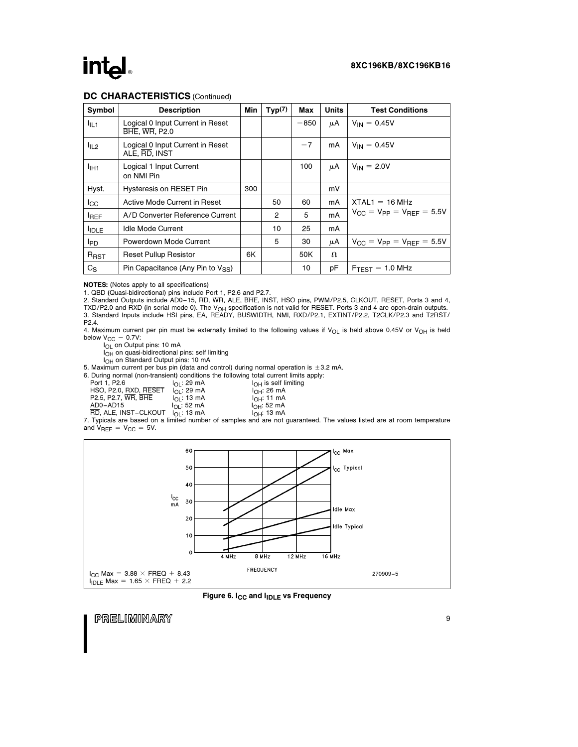## intal

## DC CHARACTERISTICS (Continued)

| <b>Symbol</b>                | <b>Description</b>                                       | Min | Typ(7)         | Max    | <b>Units</b> | <b>Test Conditions</b>                                  |
|------------------------------|----------------------------------------------------------|-----|----------------|--------|--------------|---------------------------------------------------------|
| $I_{IL1}$                    | Logical 0 Input Current in Reset<br><b>BHE, WR, P2.0</b> |     |                | $-850$ | μA           | $V_{IN} = 0.45V$                                        |
| $I_{IL2}$                    | Logical 0 Input Current in Reset<br>ALE, RD, INST        |     |                | $-7$   | mA           | $V_{IN} = 0.45V$                                        |
| <sup>I</sup> IH <sub>1</sub> | Logical 1 Input Current<br>on NMI Pin                    |     |                | 100    | μA           | $V_{IN} = 2.0V$                                         |
| Hyst.                        | Hysteresis on RESET Pin                                  | 300 |                |        | mV           |                                                         |
| $_{\rm lcc}$                 | Active Mode Current in Reset                             |     | 50             | 60     | mA           | $XTAL1 = 16 MHz$                                        |
| <b>IREF</b>                  | A/D Converter Reference Current                          |     | $\overline{2}$ | 5      | mA           | $V_{CC} = V_{PP} = V_{RFF} = 5.5V$                      |
| <b>IDLE</b>                  | Idle Mode Current                                        |     | 10             | 25     | mA           |                                                         |
| <b>I</b> PD                  | Powerdown Mode Current                                   |     | 5              | 30     | μA           | $V_{\text{CC}} = V_{\text{PP}} = V_{\text{RFF}} = 5.5V$ |
| R <sub>RST</sub>             | <b>Reset Pullup Resistor</b>                             | 6K  |                | 50K    | Ω            |                                                         |
| $C_S$                        | Pin Capacitance (Any Pin to $V_{SS}$ )                   |     |                | 10     | рF           | $F_{T\text{FST}}$ = 1.0 MHz                             |

NOTES: (Notes apply to all specifications)

1. QBD (Quasi-bidirectional) pins include Port 1, P2.6 and P2.7.<br>2. Standard Outputs include AD0–15, RD, WR, ALE, BHE, INST, HSO pins, PWM/P2.5, CLKOUT, RESET, Ports 3 and 4, TXD/P2.0 and RXD (in serial mode 0). The V<sub>OH</sub> specification is not valid for RESET. Ports 3 and 4 are open-drain outputs.<br>3. Standard Inputs include HSI pins, EA, READY, BUSWIDTH, NMI, RXD/P2.1, EXTINT/P2.2, T2CLK/P2.3 an

4. Maximum current per pin must be externally limited to the following values if  $V_{OL}$  is held above 0.45V or  $V_{OH}$  is held below  $V_{\text{CC}} - 0.7V$ :<br> $I_{\text{OL}}$  on Output pins: 10 mA

IOH on quasi-bidirectional pins: self limiting

I<sub>OH</sub> on Standard Output pins: 10 mA

5. Maximum current per bus pin (data and control) during normal operation is  $\pm$  3.2 mA.

6. During normal (non-transient) conditions the following total current limits apply: elf limiting<br>mA

| Port 1, P2.6          | $I_{\Omega}$ : 29 mA | $I_{\cap H}$ is self I  |
|-----------------------|----------------------|-------------------------|
| HSO, P2.0, RXD, RESET | $I_{\Omega}$ : 29 mA | $I_{\Omega H}$ : 26 mA  |
| P2.5, P2.7, WR, BHE   | $I_{\Omega}$ : 13 mA | $I_{OH}$ : 11 mA        |
| AD0-AD15              | $I_{\Omega}$ : 52 mA | I <sub>OH</sub> : 52 mA |

AD0 –AD15 IOL: 52 mA IOH: 52 mA RD, ALE, INST –CLKOUT IOL: 13 mA IOH: 13 mA 7. Typicals are based on a limited number of samples and are not guaranteed. The values listed are at room temperature





Figure 6. I<sub>CC</sub> and I<sub>IDLE</sub> vs Frequency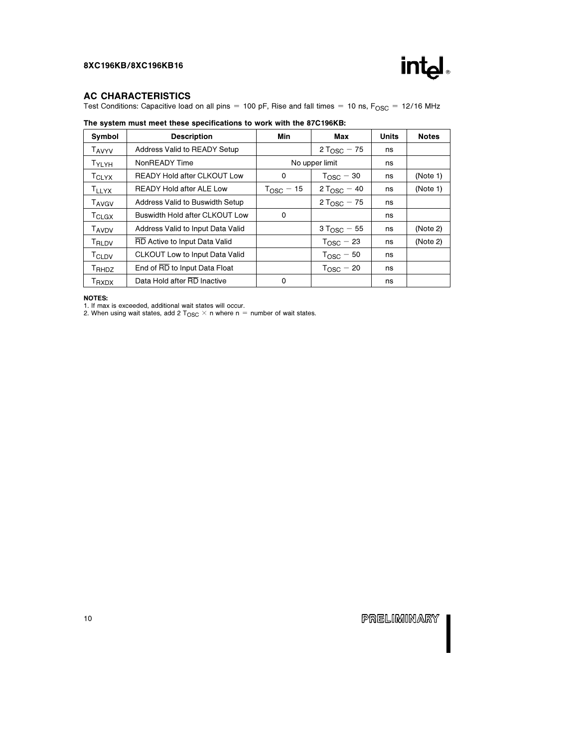

### AC CHARACTERISTICS

Test Conditions: Capacitive load on all pins = 100 pF, Rise and fall times = 10 ns,  $F_{\text{OSC}} = 12/16 \text{ MHz}$ 

| Symbol                   | <b>Description</b>                 | Min         | Max                     | <b>Units</b> | <b>Notes</b> |
|--------------------------|------------------------------------|-------------|-------------------------|--------------|--------------|
| <b>TAVYV</b>             | Address Valid to READY Setup       |             | 2 T <sub>OSC</sub> – 75 | ns           |              |
| TYLYH                    | NonREADY Time                      |             | No upper limit          | ns           |              |
| TCLYX                    | <b>READY Hold after CLKOUT Low</b> | 0           | $TOSC - 30$             | ns           | (Note 1)     |
| <b>TLLYX</b>             | <b>READY Hold after ALE Low</b>    | $TOSC$ – 15 | $2 T_{\text{OSC}} - 40$ | ns           | (Note 1)     |
| T <sub>AVGV</sub>        | Address Valid to Buswidth Setup    |             | 2 T <sub>OSC</sub> – 75 | ns           |              |
| $T_{CLGX}$               | Buswidth Hold after CLKOUT Low     | 0           |                         | ns           |              |
| <b>TAVDV</b>             | Address Valid to Input Data Valid  |             | $3 T_{\text{OSC}} - 55$ | ns           | (Note 2)     |
| T <sub>RLDV</sub>        | RD Active to Input Data Valid      |             | $T_{\text{OSC}} - 23$   | ns           | (Note 2)     |
| TCLDV                    | CLKOUT Low to Input Data Valid     |             | $T_{\text{OSC}} - 50$   | ns           |              |
| T <sub>RHDZ</sub>        | End of RD to Input Data Float      |             | $T_{\text{OSC}}$ – 20   | ns           |              |
| <b>T</b> <sub>RXDX</sub> | Data Hold after RD Inactive        | 0           |                         | ns           |              |

### The system must meet these specifications to work with the 87C196KB:

NOTES:

1. If max is exceeded, additional wait states will occur.<br>2. When using wait states, add 2 T<sub>OSC</sub>  $\times$  n where n = number of wait states.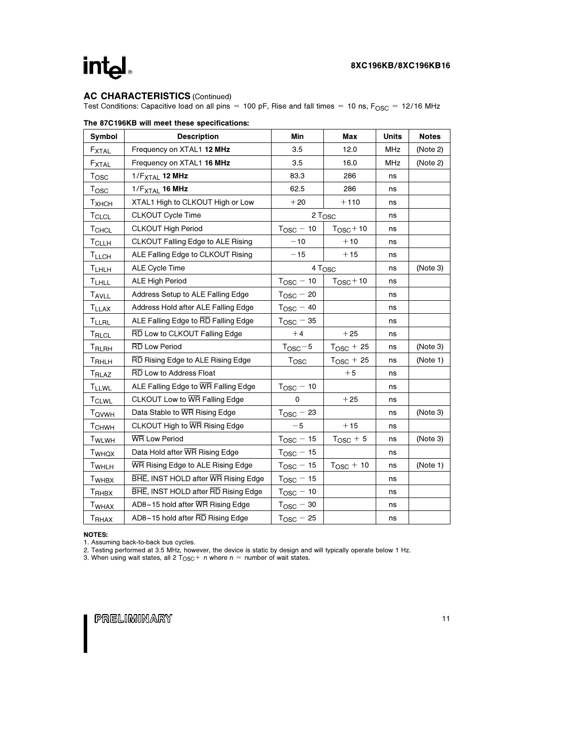# intel

## AC CHARACTERISTICS (Continued)

Test Conditions: Capacitive load on all pins = 100 pF, Rise and fall times = 10 ns,  $F_{\rm OSC}$  = 12/16 MHz

| Symbol            | <b>Description</b>                  | Min                   | Max                   | <b>Units</b> | <b>Notes</b> |
|-------------------|-------------------------------------|-----------------------|-----------------------|--------------|--------------|
| $F_{\text{XTAL}}$ | Frequency on XTAL1 12 MHz           | 3.5                   | 12.0                  | MHz          | (Note 2)     |
| FXTAL             | Frequency on XTAL1 16 MHz           | 3.5                   | 16.0                  | <b>MHz</b>   | (Note 2)     |
| Tosc              | $1/F_{\text{XTAL}}$ 12 MHz          | 83.3                  | 286                   | ns           |              |
| Tosc              | 1/F <sub>XTAL</sub> 16 MHz          | 62.5                  | 286                   | ns           |              |
| T <sub>XHCH</sub> | XTAL1 High to CLKOUT High or Low    | $+20$                 | $+110$                | ns           |              |
| <b>TCLCL</b>      | CLKOUT Cycle Time                   |                       | 2 T <sub>OSC</sub>    | ns           |              |
| TCHCL             | <b>CLKOUT High Period</b>           | $T_{\text{OSC}} - 10$ | $T_{\text{OSC}} + 10$ | ns           |              |
| <b>TCLLH</b>      | CLKOUT Falling Edge to ALE Rising   | $-10$                 | $+10$                 | ns           |              |
| <b>TLLCH</b>      | ALE Falling Edge to CLKOUT Rising   | $-15$                 | $+15$                 | ns           |              |
| <b>TLHLH</b>      | <b>ALE Cycle Time</b>               |                       | 4 Tosc                | ns           | (Note 3)     |
| <b>TLHLL</b>      | ALE High Period                     | $T_{\text{OSC}} - 10$ | $T_{\text{OSC}} + 10$ | ns           |              |
| <b>TAVLL</b>      | Address Setup to ALE Falling Edge   | $T_{\text{OSC}} - 20$ |                       | ns           |              |
| <b>TLLAX</b>      | Address Hold after ALE Falling Edge | $T_{\text{OSC}} - 40$ |                       | ns           |              |
| <b>TLLRL</b>      | ALE Falling Edge to RD Falling Edge | $T_{\rm OSC}$ $-$ 35  |                       | ns           |              |
| T <sub>RLCL</sub> | RD Low to CLKOUT Falling Edge       | $+4$                  | $+25$                 | ns           |              |
| T <sub>RLRH</sub> | <b>RD</b> Low Period                | $T_{\text{OSC}} - 5$  | $T_{\text{OSC}}$ + 25 | ns           | (Note 3)     |
| T <sub>RHLH</sub> | RD Rising Edge to ALE Rising Edge   | T <sub>OSC</sub>      | $T_{\text{OSC}}$ + 25 | ns           | (Note 1)     |
| T <sub>RLAZ</sub> | RD Low to Address Float             |                       | $+5$                  | ns           |              |
| <b>TLLWL</b>      | ALE Falling Edge to WR Falling Edge | $T_{\text{OSC}} - 10$ |                       | ns           |              |
| <b>TCLWL</b>      | CLKOUT Low to WR Falling Edge       | 0                     | $+25$                 | ns           |              |
| T <sub>QVWH</sub> | Data Stable to WR Rising Edge       | $T_{\text{OSC}}$ – 23 |                       | ns           | (Note 3)     |
| <b>T</b> CHWH     | CLKOUT High to WR Rising Edge       | $-5$                  | $+15$                 | ns           |              |
| TWLWH             | <b>WR Low Period</b>                | $T_{\text{OSC}} - 15$ | $T_{\text{OSC}} + 5$  | ns           | (Note 3)     |
| T <sub>WHQX</sub> | Data Hold after WR Rising Edge      | $T_{\text{OSC}} - 15$ |                       | ns           |              |
| TWHLH             | WR Rising Edge to ALE Rising Edge   | $T_{\text{OSC}} - 15$ | $T_{\text{OSC}} + 10$ | ns           | (Note 1)     |
| T <sub>WHBX</sub> | BHE, INST HOLD after WR Rising Edge | $T_{\text{OSC}} - 15$ |                       | ns           |              |
| T <sub>RHBX</sub> | BHE, INST HOLD after RD Rising Edge | $T_{\text{OSC}} - 10$ |                       | ns           |              |
| T <sub>WHAX</sub> | AD8-15 hold after WR Rising Edge    | $T_{\text{OSC}} - 30$ |                       | ns           |              |
| <b>TRHAX</b>      | AD8-15 hold after RD Rising Edge    | $T_{\text{OSC}} - 25$ |                       | ns           |              |

### The 87C196KB will meet these specifications:

NOTES:

1. Assuming back-to-back bus cycles.<br>2. Testing performed at 3.5 MHz, however, the device is static by design and will typically operate below 1 Hz.<br>3. When using wait states, all 2 T<sub>OSC</sub> + n where n = number of wait stat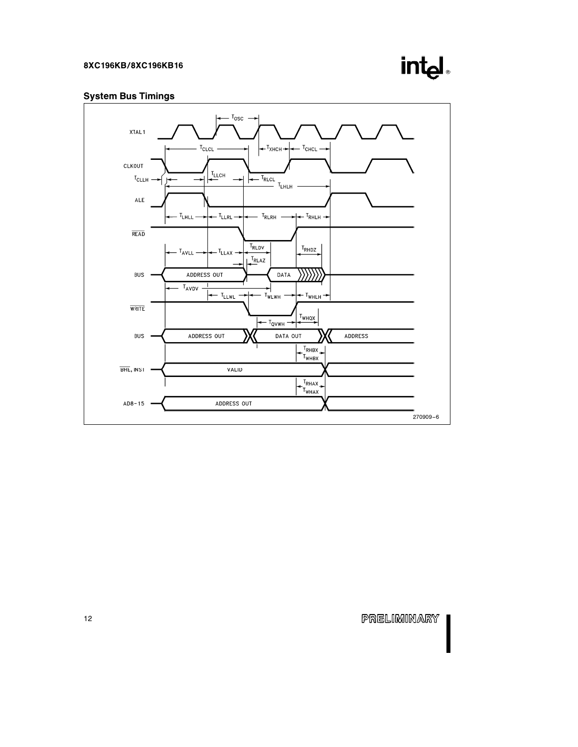

## System Bus Timings

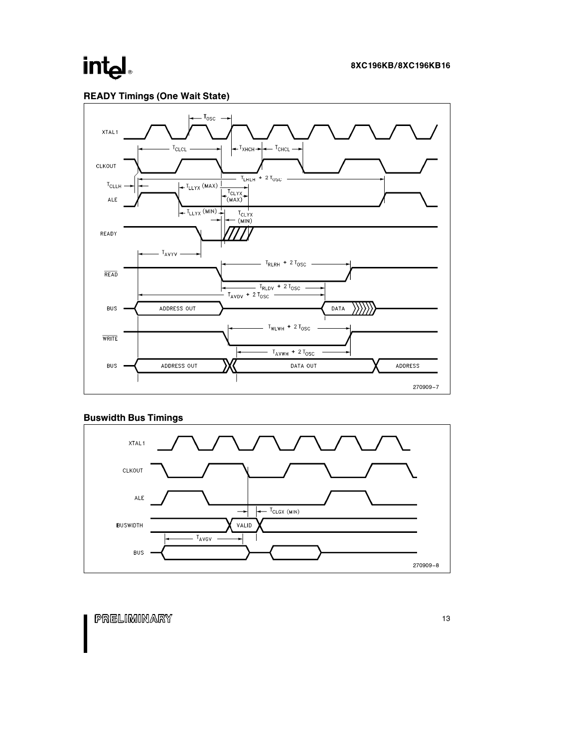# intel



## Buswidth Bus Timings

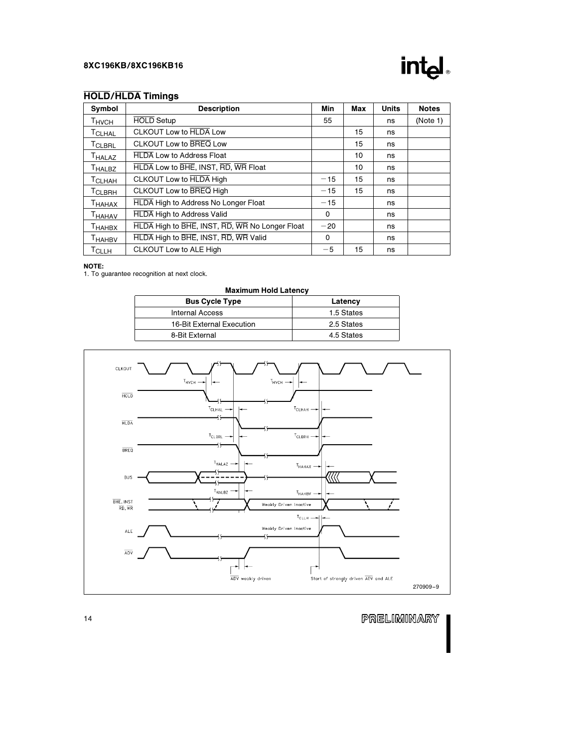

## HOLD/HLDA Timings

| Symbol             | <b>Description</b>                             | Min      | Max | <b>Units</b> | <b>Notes</b> |
|--------------------|------------------------------------------------|----------|-----|--------------|--------------|
| <b>THVCH</b>       | <b>HOLD</b> Setup                              | 55       |     | ns           | (Note 1)     |
| T <sub>CLHAL</sub> | <b>CLKOUT Low to HLDA Low</b>                  |          | 15  | ns           |              |
| <b>TCLBRL</b>      | CLKOUT Low to BREQ Low                         |          | 15  | ns           |              |
| T <sub>HALAZ</sub> | <b>HLDA Low to Address Float</b>               |          | 10  | ns           |              |
| <b>THALBZ</b>      | HLDA Low to BHE, INST, RD, WR Float            |          | 10  | ns           |              |
| T <sub>CLHAH</sub> | CLKOUT Low to <b>HLDA</b> High                 | $-15$    | 15  | ns           |              |
| <b>TCLBRH</b>      | CLKOUT Low to BREQ High                        | $-15$    | 15  | ns           |              |
| Тнанах             | <b>HLDA</b> High to Address No Longer Float    | $-15$    |     | ns           |              |
| <b>THAHAV</b>      | <b>HLDA</b> High to Address Valid              | 0        |     | ns           |              |
| Тнанвх             | HLDA High to BHE, INST, RD, WR No Longer Float | $-20$    |     | ns           |              |
| T <sub>HAHBV</sub> | HLDA High to BHE, INST, RD, WR Valid           | $\Omega$ |     | ns           |              |
| <b>T</b> CLLH      | CLKOUT Low to ALE High                         | $-5$     | 15  | ns           |              |

### NOTE:

1. To guarantee recognition at next clock.

| <b>Maximum Hold Latency</b>      |            |  |  |  |
|----------------------------------|------------|--|--|--|
| <b>Bus Cycle Type</b><br>Latency |            |  |  |  |
| <b>Internal Access</b>           | 1.5 States |  |  |  |
| 16-Bit External Execution        | 2.5 States |  |  |  |
| 8-Bit External                   | 4.5 States |  |  |  |
|                                  |            |  |  |  |

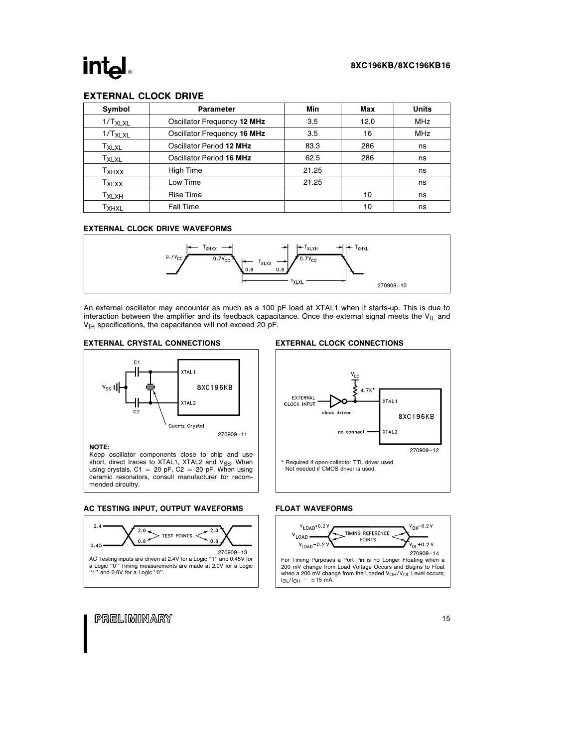## **int**

## EXTERNAL CLOCK DRIVE

| Symbol                       | <b>Parameter</b>            | Min   | Max  | <b>Units</b> |
|------------------------------|-----------------------------|-------|------|--------------|
| $1/T_{XLXL}$                 | Oscillator Frequency 12 MHz | 3.5   | 12.0 | <b>MHz</b>   |
| $1/T_{XLXL}$                 | Oscillator Frequency 16 MHz | 3.5   | 16   | <b>MHz</b>   |
| T <sub>XLXL</sub>            | Oscillator Period 12 MHz    | 83.3  | 286  | ns           |
| $\mathsf{r}_{\mathsf{XLXL}}$ | Oscillator Period 16 MHz    | 62.5  | 286  | ns           |
| Тхнхх                        | High Time                   | 21.25 |      | ns           |
| $T_{XLXX}$                   | Low Time                    | 21.25 |      | ns           |
| ⊤х∟хн                        | <b>Rise Time</b>            |       | 10   | ns           |
| ⊤хнх∟                        | Fall Time                   |       | 10   | ns           |

### EXTERNAL CLOCK DRIVE WAVEFORMS



An external oscillator may encounter as much as a 100 pF load at XTAL1 when it starts-up. This is due to interaction between the amplifier and its feedback capacitance. Once the external signal meets the  $V_{\parallel L}$  and  $V_{\text{IH}}$  specifications, the capacitance will not exceed 20 pF.





270909 –11

NOTE:

Keep oscillator components close to chip and use short, direct traces to XTAL1, XTAL2 and V<sub>SS</sub>. When<br>using crystals, C1 = 20 pF, C2 = 20 pF. When using ceramic resonators, consult manufacturer for recommended circuitry.

AC TESTING INPUT, OUTPUT WAVEFORMS



### EXTERNAL CLOCK CONNECTIONS



### FLOAT WAVEFORMS

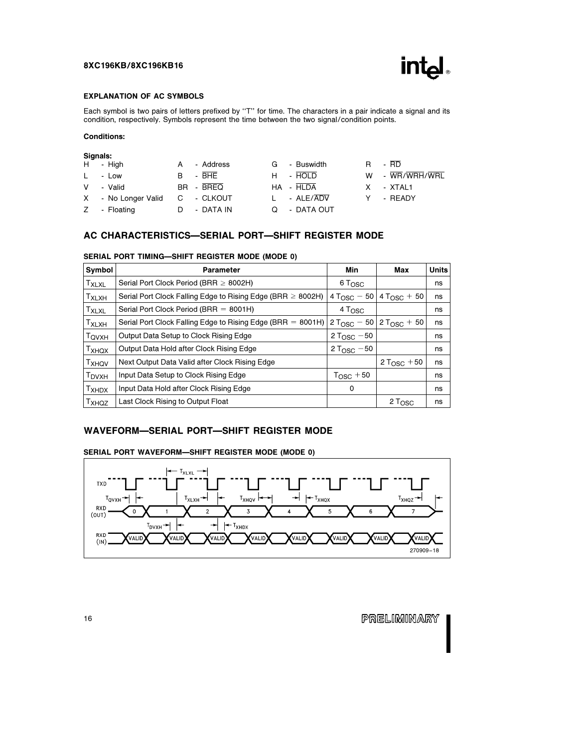

### EXPLANATION OF AC SYMBOLS

Each symbol is two pairs of letters prefixed by "T" for time. The characters in a pair indicate a signal and its condition, respectively. Symbols represent the time between the two signal/condition points.

### Conditions:

|   | Signals:            |              |           |                   |    |                |
|---|---------------------|--------------|-----------|-------------------|----|----------------|
|   | H - High            | A            | - Address | G - Buswidth      | R. | $-$ RD         |
|   | L - Low             | B.           | $-$ BHE   | H - HOLD          |    | W - WR/WRH/WRL |
| V | - Valid             |              | BR - BREQ | HA - HLDA         | X. | - XTAL1        |
|   | X - No Longer Valid | $\mathbf{C}$ | - CLKOUT  | $L \cdot ALE/ADV$ |    | - READY        |
|   | Z - Floating        |              | - DATA IN | Q - DATA OUT      |    |                |

## AC CHARACTERISTICS-SERIAL PORT-SHIFT REGISTER MODE

| Symbol              | <b>Parameter</b>                                                 | Min                      | Max                     | <b>Units</b> |
|---------------------|------------------------------------------------------------------|--------------------------|-------------------------|--------------|
| <b>TXLXL</b>        | Serial Port Clock Period (BRR $\geq$ 8002H)                      | 6 T <sub>OSC</sub>       |                         | ns           |
| $T_{XLXH}$          | Serial Port Clock Falling Edge to Rising Edge (BRR $\geq$ 8002H) | 4 T <sub>OSC</sub> $-50$ | $4 T_{\text{OSC}} + 50$ | ns           |
| $T_{\mathsf{XLXL}}$ | Serial Port Clock Period (BRR = $8001H$ )                        | $4T_{\rm OSC}$           |                         | ns           |
| $T_{XLXH}$          | Serial Port Clock Falling Edge to Rising Edge (BRR $= 8001H$ )   | $2 T_{\rm OSC} - 50$     | $2 T_{\text{OSC}} + 50$ | ns           |
| T <sub>QVXH</sub>   | Output Data Setup to Clock Rising Edge                           | 2 T <sub>OSC</sub> $-50$ |                         | ns           |
| Тхнох               | Output Data Hold after Clock Rising Edge                         | 2 T <sub>OSC</sub> $-50$ |                         | ns           |
| Тхноv               | Next Output Data Valid after Clock Rising Edge                   |                          | 2 T <sub>OSC</sub> + 50 | ns           |
| T <sub>DVXH</sub>   | Input Data Setup to Clock Rising Edge                            | $T_{\text{OSC}} + 50$    |                         | ns           |
| T <sub>XHDX</sub>   | Input Data Hold after Clock Rising Edge                          | 0                        |                         | ns           |
| T <sub>XHQZ</sub>   | Last Clock Rising to Output Float                                |                          | 2 T <sub>OSC</sub>      | ns           |

### SERIAL PORT TIMING-SHIFT REGISTER MODE (MODE 0)

## WAVEFORM-SERIAL PORT-SHIFT REGISTER MODE

### SERIAL PORT WAVEFORM-SHIFT REGISTER MODE (MODE 0)

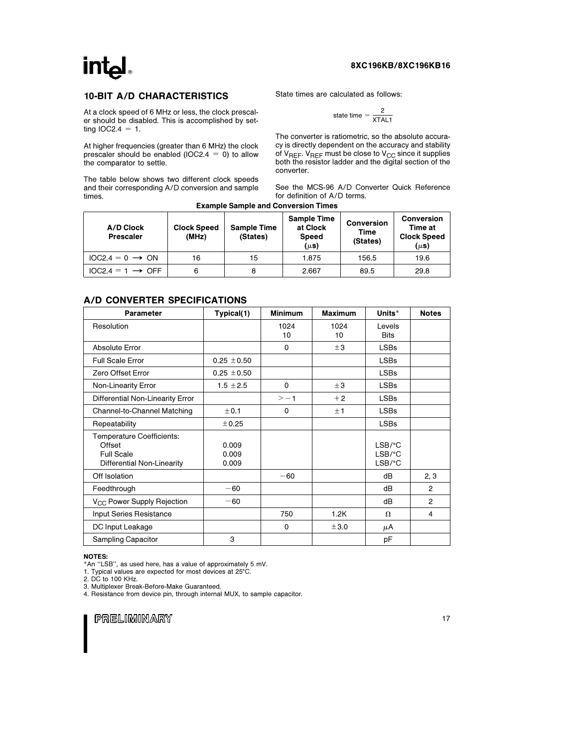# int<sub>el</sub>

### 8XC196KB/8XC196KB16

### 10-BIT A/D CHARACTERISTICS

At a clock speed of 6 MHz or less, the clock prescaler should be disabled. This is accomplished by setting  $IOC2.4 = 1$ .

At higher frequencies (greater than 6 MHz) the clock prescaler should be enabled (IOC2.4 =  $0$ ) to allow the comparator to settle.

The table below shows two different clock speeds and their corresponding A/D conversion and sample times.

State times are calculated as follows:

$$
\text{state time} = \frac{2}{\text{XTAL1}}
$$

The converter is ratiometric, so the absolute accuracy is directly dependent on the accuracy and stability of  $V_{REF}$ .  $V_{REF}$  must be close to  $V_{CC}$  since it supplies both the resistor ladder and the digital section of the converter.

See the MCS-96 A/D Converter Quick Reference for definition of A/D terms.

| <b>Example Sample and Conversion Times</b> |                             |                                |                                                             |                                       |                                                                 |  |  |
|--------------------------------------------|-----------------------------|--------------------------------|-------------------------------------------------------------|---------------------------------------|-----------------------------------------------------------------|--|--|
| A/D Clock<br><b>Prescaler</b>              | <b>Clock Speed</b><br>(MHz) | <b>Sample Time</b><br>(States) | <b>Sample Time</b><br>at Clock<br><b>Speed</b><br>$(\mu s)$ | <b>Conversion</b><br>Time<br>(States) | <b>Conversion</b><br>Time at<br><b>Clock Speed</b><br>$(\mu s)$ |  |  |
| $10C2.4 = 0 \rightarrow ON$                | 16                          | 15                             | 1.875                                                       | 156.5                                 | 19.6                                                            |  |  |
| $IOC2.4 = 1 \rightarrow OFF$               | 6                           | 8                              | 2.667                                                       | 89.5                                  | 29.8                                                            |  |  |

## A/D CONVERTER SPECIFICATIONS

| Parameter                                                                                     | Typical(1)              | <b>Minimum</b> | <b>Maximum</b> | Units*                                                    | <b>Notes</b>   |
|-----------------------------------------------------------------------------------------------|-------------------------|----------------|----------------|-----------------------------------------------------------|----------------|
| Resolution                                                                                    |                         | 1024<br>10     | 1024<br>10     | Levels<br><b>Bits</b>                                     |                |
| Absolute Error                                                                                |                         | $\Omega$       | ±3             | <b>LSBs</b>                                               |                |
| <b>Full Scale Error</b>                                                                       | $0.25 + 0.50$           |                |                | <b>LSBs</b>                                               |                |
| Zero Offset Error                                                                             | $0.25 \pm 0.50$         |                |                | <b>LSBs</b>                                               |                |
| Non-Linearity Error                                                                           | $1.5 \pm 2.5$           | $\mathbf 0$    | ±3             | <b>LSBs</b>                                               |                |
| Differential Non-Linearity Error                                                              |                         | $> -1$         | $+2$           | <b>LSBs</b>                                               |                |
| Channel-to-Channel Matching                                                                   | ± 0.1                   | 0              | ±1             | <b>LSBs</b>                                               |                |
| Repeatability                                                                                 | ±0.25                   |                |                | <b>LSBs</b>                                               |                |
| <b>Temperature Coefficients:</b><br>Offset<br><b>Full Scale</b><br>Differential Non-Linearity | 0.009<br>0.009<br>0.009 |                |                | $LSB$ /°C<br>$LSB$ / $^{\circ}$ C<br>$LSB$ / $^{\circ}$ C |                |
| Off Isolation                                                                                 |                         | $-60$          |                | dВ                                                        | 2, 3           |
| Feedthrough                                                                                   | $-60$                   |                |                | dВ                                                        | $\overline{2}$ |
| V <sub>CC</sub> Power Supply Rejection                                                        | $-60$                   |                |                | dB                                                        | $\overline{2}$ |
| <b>Input Series Resistance</b>                                                                |                         | 750            | 1.2K           | $\Omega$                                                  | 4              |
| DC Input Leakage                                                                              |                         | 0              | ±3.0           | μA                                                        |                |
| Sampling Capacitor                                                                            | 3                       |                |                | рF                                                        |                |

### NOTES:

\*An ''LSB'', as used here, has a value of approximately 5 mV.

1. Typical values are expected for most devices at 25°C.

2. DC to 100 KHz. 3. Multiplexer Break-Before-Make Guaranteed.

4. Resistance from device pin, through internal MUX, to sample capacitor.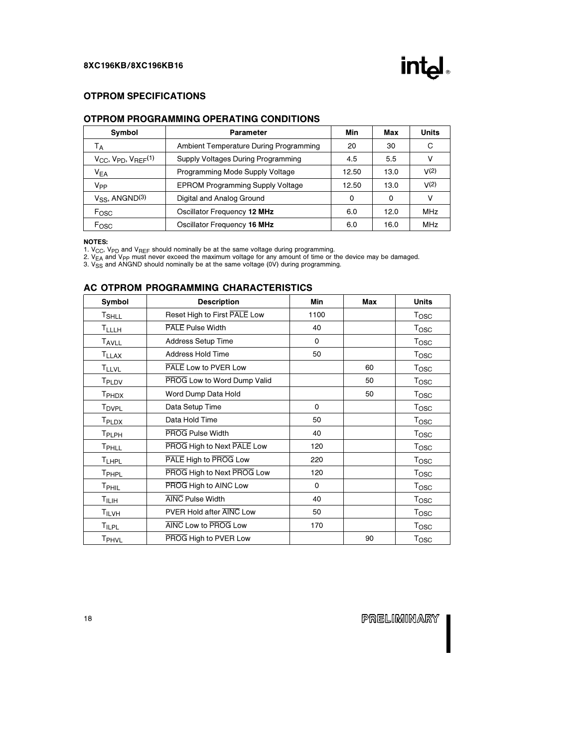

## OTPROM SPECIFICATIONS

### OTPROM PROGRAMMING OPERATING CONDITIONS

| Symbol                             | Parameter                               | Min   | Max  | <b>Units</b> |
|------------------------------------|-----------------------------------------|-------|------|--------------|
| Tд                                 | Ambient Temperature During Programming  | 20    | 30   | C            |
| $V_{CC}$ , $V_{PD}$ , $V_{REF}(1)$ | Supply Voltages During Programming      | 4.5   | 5.5  | ٧            |
| $V_{EA}$                           | Programming Mode Supply Voltage         | 12.50 | 13.0 | V(2)         |
| V <sub>PP</sub>                    | <b>EPROM Programming Supply Voltage</b> | 12.50 | 13.0 | V(2)         |
| $V_{SS}$ , ANGND $(3)$             | Digital and Analog Ground               | 0     | 0    | v            |
| Fosc                               | Oscillator Frequency 12 MHz             | 6.0   | 12.0 | <b>MHz</b>   |
| Fosc                               | Oscillator Frequency 16 MHz             | 6.0   | 16.0 | MHz          |

NOTES:

1. V<sub>CC</sub>, V<sub>PD</sub> and V<sub>REF</sub> should nominally be at the same voltage during programming.<br>2. V<sub>EA</sub> and V<sub>PP</sub> must never exceed the maximum voltage for any amount of time or the device may be damaged.<br>3. V<sub>SS</sub> and ANGND should

## AC OTPROM PROGRAMMING CHARACTERISTICS

| Symbol                   | <b>Description</b>           | Min  | Max | <b>Units</b>     |
|--------------------------|------------------------------|------|-----|------------------|
| T <sub>SHLL</sub>        | Reset High to First PALE Low | 1100 |     | Tosc             |
| TLLLH                    | PALE Pulse Width             | 40   |     | <b>Tosc</b>      |
| T <sub>AVLL</sub>        | <b>Address Setup Time</b>    | 0    |     | T <sub>OSC</sub> |
| <b>TLLAX</b>             | <b>Address Hold Time</b>     | 50   |     | T <sub>OSC</sub> |
| <b>TLLVL</b>             | PALE Low to PVER Low         |      | 60  | T <sub>OSC</sub> |
| T <sub>PLDV</sub>        | PROG Low to Word Dump Valid  |      | 50  | Tosc             |
| T <sub>PHDX</sub>        | Word Dump Data Hold          |      | 50  | <b>Tosc</b>      |
| <b>T</b> <sub>DVPL</sub> | Data Setup Time              | 0    |     | Tosc             |
| T <sub>PLDX</sub>        | Data Hold Time               | 50   |     | T <sub>OSC</sub> |
| T <sub>PLPH</sub>        | <b>PROG Pulse Width</b>      | 40   |     | T <sub>OSC</sub> |
| TPHLL                    | PROG High to Next PALE Low   | 120  |     | Tosc             |
| <b>TLHPL</b>             | PALE High to PROG Low        | 220  |     | T <sub>OSC</sub> |
| T <sub>PHPL</sub>        | PROG High to Next PROG Low   | 120  |     | <b>Tosc</b>      |
| T <sub>PHIL</sub>        | PROG High to AINC Low        | 0    |     | T <sub>OSC</sub> |
| T <sub>ILIH</sub>        | <b>AINC Pulse Width</b>      | 40   |     | T <sub>OSC</sub> |
| TILVH                    | PVER Hold after AINC Low     | 50   |     | Tosc             |
| <b>TILPL</b>             | AINC Low to PROG Low         | 170  |     | Tosc             |
| TPHVL                    | PROG High to PVER Low        |      | 90  | <b>Tosc</b>      |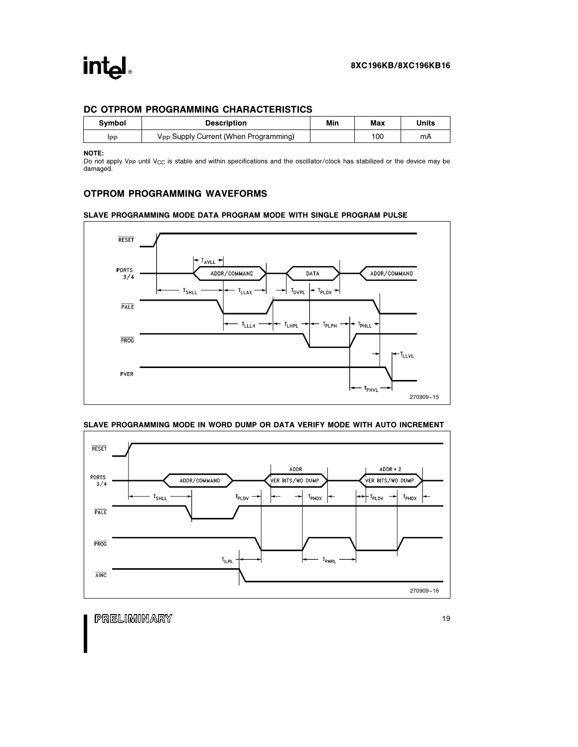## DC OTPROM PROGRAMMING CHARACTERISTICS

| <b>Symbol</b> | <b>Description</b>                                | Min | Max | Units |
|---------------|---------------------------------------------------|-----|-----|-------|
| Ipp           | V <sub>PP</sub> Supply Current (When Programming) |     | 100 | mA    |

NOTE:

Do not apply V<sub>PP</sub> until V<sub>CC</sub> is stable and within specifications and the oscillator/clock has stabilized or the device may be damaged.

## OTPROM PROGRAMMING WAVEFORMS

### SLAVE PROGRAMMING MODE DATA PROGRAM MODE WITH SINGLE PROGRAM PULSE



### SLAVE PROGRAMMING MODE IN WORD DUMP OR DATA VERIFY MODE WITH AUTO INCREMENT

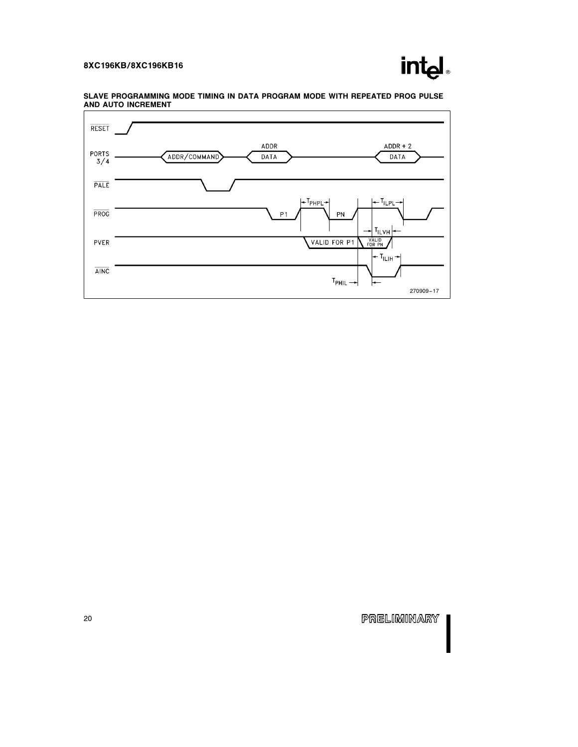

### SLAVE PROGRAMMING MODE TIMING IN DATA PROGRAM MODE WITH REPEATED PROG PULSE AND AUTO INCREMENT

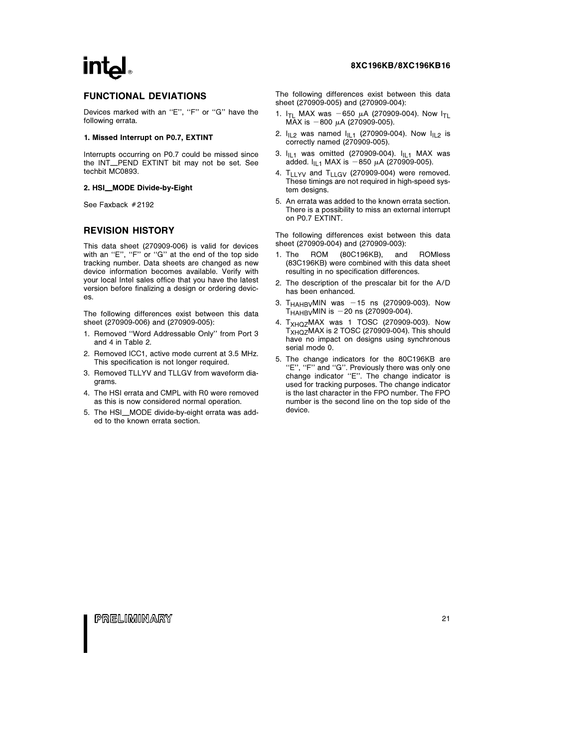# **intel**

## FUNCTIONAL DEVIATIONS

Devices marked with an "E", "F" or "G" have the following errata.

#### 1. Missed Interrupt on P0.7, EXTINT

Interrupts occurring on P0.7 could be missed since the INT\_PEND EXTINT bit may not be set. See techbit MC0893.

### 2. HSI\_MODE Divide-by-Eight

See Faxback  $#2192$ 

### REVISION HISTORY

This data sheet (270909-006) is valid for devices with an "E", "F" or "G" at the end of the top side tracking number. Data sheets are changed as new device information becomes available. Verify with your local Intel sales office that you have the latest version before finalizing a design or ordering devices.

The following differences exist between this data sheet (270909-006) and (270909-005):

- 1. Removed ''Word Addressable Only'' from Port 3 and 4 in Table 2.
- 2. Removed ICC1, active mode current at 3.5 MHz. This specification is not longer required.
- 3. Removed TLLYV and TLLGV from waveform diagrams.
- 4. The HSI errata and CMPL with R0 were removed as this is now considered normal operation.
- 5. The HSI\_MODE divide-by-eight errata was added to the known errata section.

### 8XC196KB/8XC196KB16

The following differences exist between this data sheet (270909-005) and (270909-004):

- 1.  $I_{TL}$  MAX was -650  $\mu$ A (270909-004). Now  $I_{TL}$ MAX is  $-800 \mu$ A (270909-005).
- 2.  $I_{1L2}$  was named  $I_{1L1}$  (270909-004). Now  $I_{1L2}$  is correctly named (270909-005).
- 3.  $I_{\text{IL1}}$  was omitted (270909-004).  $I_{\text{IL1}}$  MAX was added.  $I_{\text{IL1}}$  MAX is -850  $\mu$ A (270909-005).
- 4. T<sub>LLYV</sub> and T<sub>LLGV</sub> (270909-004) were removed. These timings are not required in high-speed system designs.
- 5. An errata was added to the known errata section. There is a possibility to miss an external interrupt on P0.7 EXTINT.

The following differences exist between this data sheet (270909-004) and (270909-003):

- 1. The ROM (80C196KB), and ROMless (83C196KB) were combined with this data sheet resulting in no specification differences.
- 2. The description of the prescalar bit for the A/D has been enhanced.
- 3.  $T_{HAHBV}$ MIN was  $-15$  ns (270909-003). Now  $T_{HAHBV}$ MIN is  $-20$  ns (270909-004).
- 4. T<sub>XHQZ</sub>MAX was 1 TOSC (270909-003). Now T<sub>XHQZ</sub>MAX is 2 TOSC (270909-004). This should have no impact on designs using synchronous serial mode 0.
- 5. The change indicators for the 80C196KB are "E", "F" and "G". Previously there was only one change indicator ''E''. The change indicator is used for tracking purposes. The change indicator is the last character in the FPO number. The FPO number is the second line on the top side of the device.